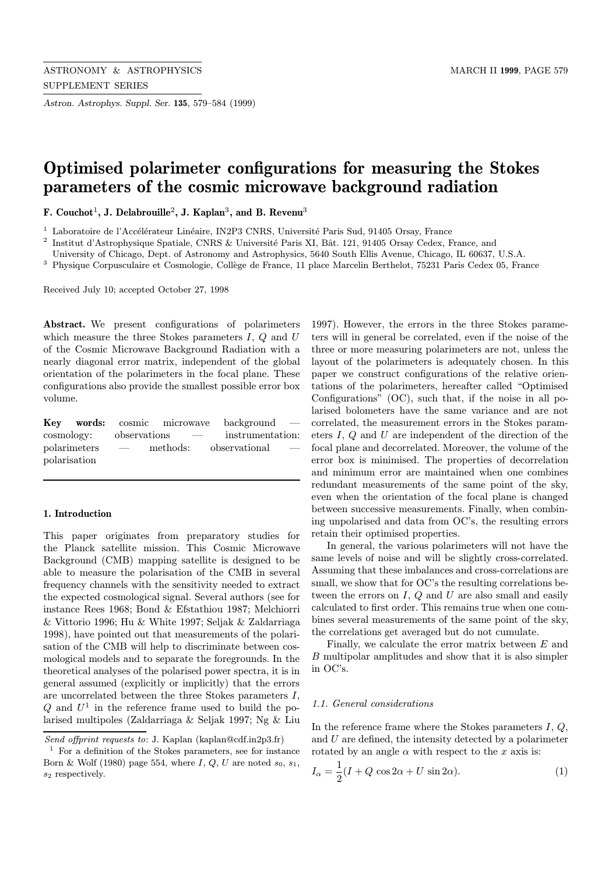Astron. Astrophys. Suppl. Ser. 135, 579–584 (1999)

# Optimised polarimeter configurations for measuring the Stokes parameters of the cosmic microwave background radiation

F. Couchot<sup>1</sup>, J. Delabrouille<sup>2</sup>, J. Kaplan<sup>3</sup>, and B. Revenu<sup>3</sup>

 $^{\rm 1}$  Laboratoire de l'Accélérateur Linéaire, IN2P3 CNRS, Université Paris Sud, 91405 Orsay, France

<sup>2</sup> Institut d'Astrophysique Spatiale, CNRS & Université Paris XI, Bât. 121, 91405 Orsay Cedex, France, and

University of Chicago, Dept. of Astronomy and Astrophysics, 5640 South Ellis Avenue, Chicago, IL 60637, U.S.A.

<sup>3</sup> Physique Corpusculaire et Cosmologie, Collège de France, 11 place Marcelin Berthelot, 75231 Paris Cedex 05, France

Received July 10; accepted October 27, 1998

Abstract. We present configurations of polarimeters which measure the three Stokes parameters  $I, Q$  and  $U$ of the Cosmic Microwave Background Radiation with a nearly diagonal error matrix, independent of the global orientation of the polarimeters in the focal plane. These configurations also provide the smallest possible error box volume.

|                         |                          |            | <b>Key words:</b> cosmic microwave background $-$  |
|-------------------------|--------------------------|------------|----------------------------------------------------|
| cosmology: observations |                          | $\sim$ $-$ | instrumentation:                                   |
| polarimeters            | $\overline{\phantom{a}}$ |            | methods: observational<br>$\overline{\phantom{a}}$ |
| polarization            |                          |            |                                                    |

# 1. Introduction

This paper originates from preparatory studies for the Planck satellite mission. This Cosmic Microwave Background (CMB) mapping satellite is designed to be able to measure the polarisation of the CMB in several frequency channels with the sensitivity needed to extract the expected cosmological signal. Several authors (see for instance Rees 1968; Bond & Efstathiou 1987; Melchiorri & Vittorio 1996; Hu & White 1997; Seljak & Zaldarriaga 1998), have pointed out that measurements of the polarisation of the CMB will help to discriminate between cosmological models and to separate the foregrounds. In the theoretical analyses of the polarised power spectra, it is in general assumed (explicitly or implicitly) that the errors are uncorrelated between the three Stokes parameters I,  $Q$  and  $U^1$  in the reference frame used to build the polarised multipoles (Zaldarriaga & Seljak 1997; Ng & Liu 1997). However, the errors in the three Stokes parameters will in general be correlated, even if the noise of the three or more measuring polarimeters are not, unless the layout of the polarimeters is adequately chosen. In this paper we construct configurations of the relative orientations of the polarimeters, hereafter called "Optimised Configurations" (OC), such that, if the noise in all polarised bolometers have the same variance and are not correlated, the measurement errors in the Stokes parameters I, Q and U are independent of the direction of the focal plane and decorrelated. Moreover, the volume of the error box is minimised. The properties of decorrelation and minimum error are maintained when one combines redundant measurements of the same point of the sky, even when the orientation of the focal plane is changed between successive measurements. Finally, when combining unpolarised and data from OC's, the resulting errors retain their optimised properties.

In general, the various polarimeters will not have the same levels of noise and will be slightly cross-correlated. Assuming that these imbalances and cross-correlations are small, we show that for OC's the resulting correlations between the errors on  $I, Q$  and  $U$  are also small and easily calculated to first order. This remains true when one combines several measurements of the same point of the sky, the correlations get averaged but do not cumulate.

Finally, we calculate the error matrix between E and B multipolar amplitudes and show that it is also simpler in OC's.

## 1.1. General considerations

In the reference frame where the Stokes parameters  $I, Q$ , and  $U$  are defined, the intensity detected by a polarimeter rotated by an angle  $\alpha$  with respect to the x axis is:

$$
I_{\alpha} = \frac{1}{2}(I + Q\cos 2\alpha + U\sin 2\alpha). \tag{1}
$$

Send offprint requests to: J. Kaplan (kaplan@cdf.in2p3.fr)

 $1$  For a definition of the Stokes parameters, see for instance Born & Wolf (1980) page 554, where  $I, Q, U$  are noted  $s_0, s_1$ ,  $s_2$  respectively.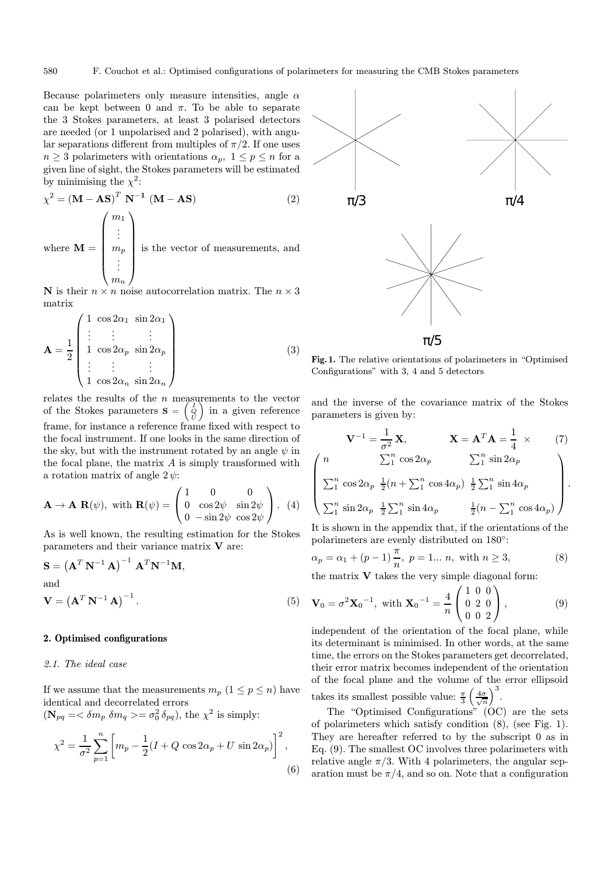$\sqrt{ }$ 

Because polarimeters only measure intensities, angle  $\alpha$ can be kept between 0 and π. To be able to separate the 3 Stokes parameters, at least 3 polarised detectors are needed (or 1 unpolarised and 2 polarised), with angular separations different from multiples of  $\pi/2$ . If one uses  $n \geq 3$  polarimeters with orientations  $\alpha_p$ ,  $1 \leq p \leq n$  for a given line of sight, the Stokes parameters will be estimated by minimising the  $\chi^2$ :

$$
\chi^{2} = (\mathbf{M} - \mathbf{AS})^{T} \mathbf{N}^{-1} (\mathbf{M} - \mathbf{AS})
$$
\nwhere  $\mathbf{M} = \begin{pmatrix} m_{1} \\ \vdots \\ m_{p} \\ \vdots \\ m_{n} \end{pmatrix}$  is the vector of measurements, and

N is their  $n \times n$  noise autocorrelation matrix. The  $n \times 3$ matrix

$$
\mathbf{A} = \frac{1}{2} \begin{pmatrix} 1 & \cos 2\alpha_1 & \sin 2\alpha_1 \\ \vdots & \vdots & \vdots \\ 1 & \cos 2\alpha_p & \sin 2\alpha_p \\ \vdots & \vdots & \vdots \\ 1 & \cos 2\alpha_n & \sin 2\alpha_n \end{pmatrix}
$$
(3)

relates the results of the  $n$  measurements to the vector of the Stokes parameters  $\mathbf{S} = \begin{pmatrix} I & I \\ Q & I \end{pmatrix}$ in a given reference frame, for instance a reference frame fixed with respect to the focal instrument. If one looks in the same direction of the sky, but with the instrument rotated by an angle  $\psi$  in the focal plane, the matrix  $A$  is simply transformed with a rotation matrix of angle  $2 \psi$ :

$$
\mathbf{A} \to \mathbf{A} \ \mathbf{R}(\psi), \text{ with } \mathbf{R}(\psi) = \begin{pmatrix} 1 & 0 & 0 \\ 0 & \cos 2\psi & \sin 2\psi \\ 0 & -\sin 2\psi & \cos 2\psi \end{pmatrix}. \tag{4}
$$

As is well known, the resulting estimation for the Stokes parameters and their variance matrix  $V$  are:

$$
\mathbf{S} = \left(\mathbf{A}^T \mathbf{N}^{-1} \mathbf{A}\right)^{-1} \mathbf{A}^T \mathbf{N}^{-1} \mathbf{M},
$$
  
and  

$$
\mathbf{V} = \left(\mathbf{A}^T \mathbf{N}^{-1} \mathbf{A}\right)^{-1}.
$$
 (5)

### 2. Optimised configurations

# 2.1. The ideal case

If we assume that the measurements  $m_p$   $(1 \leq p \leq n)$  have identical and decorrelated errors  $(\mathbf{N}_{pq} = \langle \delta m_p \delta m_q \rangle = \sigma_0^2 \delta_{pq}),$  the  $\chi^2$  is simply:

$$
\chi^{2} = \frac{1}{\sigma^{2}} \sum_{p=1}^{n} \left[ m_{p} - \frac{1}{2} (I + Q \cos 2\alpha_{p} + U \sin 2\alpha_{p}) \right]^{2},
$$
\n(6)



Fig. 1. The relative orientations of polarimeters in "Optimised Configurations" with 3, 4 and 5 detectors

and the inverse of the covariance matrix of the Stokes parameters is given by:

$$
\mathbf{V}^{-1} = \frac{1}{\sigma^2} \mathbf{X}, \qquad \mathbf{X} = \mathbf{A}^T \mathbf{A} = \frac{1}{4} \times \qquad (7)
$$
  
\n
$$
n \qquad \sum_{1}^{n} \cos 2\alpha_p \qquad \sum_{1}^{n} \sin 2\alpha_p
$$
  
\n
$$
\sum_{1}^{n} \cos 2\alpha_p \frac{1}{2} (n + \sum_{1}^{n} \cos 4\alpha_p) \frac{1}{2} \sum_{1}^{n} \sin 4\alpha_p
$$

$$
\begin{bmatrix}\n\sum_{1}^{n} \cos 2\alpha_p & \frac{1}{2}(n + \sum_{1}^{n} \cos 4\alpha_p) & \frac{1}{2} \sum_{1}^{n} \sin 4\alpha_p \\
\sum_{1}^{n} \sin 2\alpha_p & \frac{1}{2} \sum_{1}^{n} \sin 4\alpha_p & \frac{1}{2}(n - \sum_{1}^{n} \cos 4\alpha_p)\n\end{bmatrix}.
$$

It is shown in the appendix that, if the orientations of the polarimeters are evenly distributed on 180◦:

$$
\alpha_p = \alpha_1 + (p-1)\frac{\pi}{n}, \ p = 1... \ n, \text{ with } n \ge 3,
$$
\n(8)

the matrix  $V$  takes the very simple diagonal form:

$$
\mathbf{V}_0 = \sigma^2 \mathbf{X}_0^{-1}, \text{ with } \mathbf{X}_0^{-1} = \frac{4}{n} \begin{pmatrix} 1 & 0 & 0 \\ 0 & 2 & 0 \\ 0 & 0 & 2 \end{pmatrix}, \tag{9}
$$

independent of the orientation of the focal plane, while its determinant is minimised. In other words, at the same time, the errors on the Stokes parameters get decorrelated, their error matrix becomes independent of the orientation of the focal plane and the volume of the error ellipsoid takes its smallest possible value:  $\frac{\pi}{3} \left( \frac{4\sigma}{\sqrt{n}} \right)^3$ .

The "Optimised Configurations" (OC) are the sets of polarimeters which satisfy condition (8), (see Fig. 1). They are hereafter referred to by the subscript 0 as in Eq. (9). The smallest OC involves three polarimeters with relative angle  $\pi/3$ . With 4 polarimeters, the angular separation must be  $\pi/4$ , and so on. Note that a configuration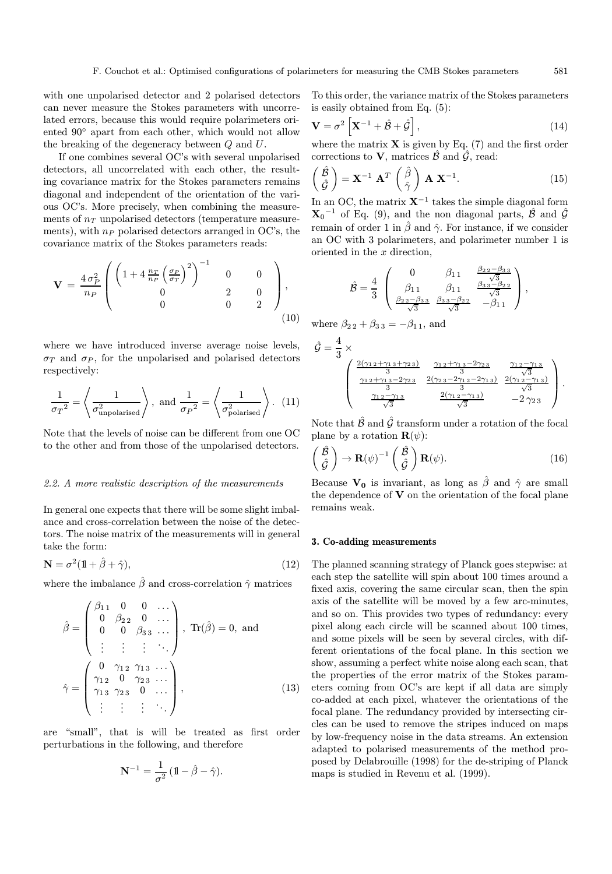with one unpolarised detector and 2 polarised detectors can never measure the Stokes parameters with uncorrelated errors, because this would require polarimeters oriented 90◦ apart from each other, which would not allow the breaking of the degeneracy between Q and U.

If one combines several OC's with several unpolarised detectors, all uncorrelated with each other, the resulting covariance matrix for the Stokes parameters remains diagonal and independent of the orientation of the various OC's. More precisely, when combining the measurements of  $n<sub>T</sub>$  unpolarised detectors (temperature measurements), with  $n_P$  polarised detectors arranged in OC's, the covariance matrix of the Stokes parameters reads:

$$
\mathbf{V} = \frac{4 \sigma_P^2}{n_P} \begin{pmatrix} \left(1 + 4 \frac{n_T}{n_P} \left(\frac{\sigma_P}{\sigma_T}\right)^2\right)^{-1} & 0 & 0\\ 0 & 2 & 0\\ 0 & 0 & 2 \end{pmatrix},
$$
\n(10)

where we have introduced inverse average noise levels,  $\sigma_T$  and  $\sigma_P$ , for the unpolarised and polarised detectors respectively:

$$
\frac{1}{\sigma_T^2} = \left\langle \frac{1}{\sigma_{\text{unpolarised}}^2} \right\rangle, \text{ and } \frac{1}{\sigma_P^2} = \left\langle \frac{1}{\sigma_{\text{polarised}}^2} \right\rangle. (11)
$$

Note that the levels of noise can be different from one OC to the other and from those of the unpolarised detectors.

#### 2.2. A more realistic description of the measurements

In general one expects that there will be some slight imbalance and cross-correlation between the noise of the detectors. The noise matrix of the measurements will in general take the form:

$$
\mathbf{N} = \sigma^2 (\mathbb{1} + \hat{\beta} + \hat{\gamma}),\tag{12}
$$

where the imbalance  $\hat{\beta}$  and cross-correlation  $\hat{\gamma}$  matrices

$$
\hat{\beta} = \begin{pmatrix} \beta_{11} & 0 & 0 & \dots \\ 0 & \beta_{22} & 0 & \dots \\ 0 & 0 & \beta_{33} & \dots \\ \vdots & \vdots & \vdots & \ddots \end{pmatrix}, \text{Tr}(\hat{\beta}) = 0, \text{ and}
$$

$$
\hat{\gamma} = \begin{pmatrix} 0 & \gamma_{12} & \gamma_{13} & \dots \\ \gamma_{12} & 0 & \gamma_{23} & \dots \\ \gamma_{13} & \gamma_{23} & 0 & \dots \\ \vdots & \vdots & \vdots & \ddots \end{pmatrix}, \tag{13}
$$

are "small", that is will be treated as first order perturbations in the following, and therefore

$$
\mathbf{N}^{-1} = \frac{1}{\sigma^2} \left( \mathbb{1} - \hat{\beta} - \hat{\gamma} \right).
$$

To this order, the variance matrix of the Stokes parameters is easily obtained from Eq. (5):

$$
\mathbf{V} = \sigma^2 \left[ \mathbf{X}^{-1} + \hat{\mathcal{B}} + \hat{\mathcal{G}} \right],\tag{14}
$$

where the matrix  $X$  is given by Eq. (7) and the first order corrections to **V**, matrices  $\hat{\mathcal{B}}$  and  $\hat{\mathcal{G}}$ , read:

$$
\begin{pmatrix} \hat{\mathcal{B}} \\ \hat{\mathcal{G}} \end{pmatrix} = \mathbf{X}^{-1} \mathbf{A}^T \begin{pmatrix} \hat{\beta} \\ \hat{\gamma} \end{pmatrix} \mathbf{A} \mathbf{X}^{-1}.
$$
 (15)

In an OC, the matrix  $X^{-1}$  takes the simple diagonal form  $X_0$ <sup>-1</sup> of Eq. (9), and the non diagonal parts,  $\hat{\mathcal{B}}$  and  $\hat{\mathcal{G}}$ remain of order 1 in  $\hat{\beta}$  and  $\hat{\gamma}$ . For instance, if we consider an OC with 3 polarimeters, and polarimeter number 1 is oriented in the x direction,

$$
\hat{\mathcal{B}} = \frac{4}{3} \begin{pmatrix} 0 & \beta_{11} & \frac{\beta_{22} - \beta_{33}}{\sqrt{3}} \\ \beta_{11} & \beta_{11} & \frac{\beta_{33} - \beta_{22}}{\sqrt{3}} \\ \frac{\beta_{22} - \beta_{33}}{\sqrt{3}} & \frac{\beta_{33} - \beta_{22}}{\sqrt{3}} & -\beta_{11} \end{pmatrix},
$$

where  $\beta_{2,2} + \beta_{3,3} = -\beta_{1,1}$ , and

$$
\hat{G} = \frac{4}{3} \times \frac{2(\gamma_1 \cdot 2 + \gamma_1 \cdot 3 + \gamma_2 \cdot 3)}{\gamma_1 \cdot 3 - 2\gamma_2 \cdot 3} \cdot \frac{\gamma_1 \cdot 2 + \gamma_1 \cdot 3 - 2\gamma_2 \cdot 3}{\gamma_1 \cdot 3 - 2\gamma_2 \cdot 3} \cdot \frac{\gamma_1 \cdot 2 - \gamma_1 \cdot 3}{\gamma_1 \cdot 3 - 2\gamma_1 \cdot 3}}{\gamma_1 \cdot 3 - 2\gamma_1 \cdot 3} \cdot \frac{2(\gamma_1 \cdot 2 - \gamma_1 \cdot 3)}{\gamma_1 \cdot 3} \cdot \frac{2(\gamma_1 \cdot 2 - \gamma_1 \cdot 3)}{\gamma_1 \cdot 3} \cdot \frac{2(\gamma_1 \cdot 2 - \gamma_1 \cdot 3)}{\gamma_1 \cdot 3} \cdot \frac{2(\gamma_1 \cdot 2 - \gamma_1 \cdot 3)}{\gamma_1 \cdot 3} \cdot \frac{2(\gamma_1 \cdot 2 - \gamma_1 \cdot 3)}{\gamma_1 \cdot 3} \cdot \frac{2(\gamma_1 \cdot 2 - \gamma_1 \cdot 3)}{\gamma_1 \cdot 3} \cdot \frac{2(\gamma_1 \cdot 2 - \gamma_1 \cdot 3)}{\gamma_1 \cdot 3} \cdot \frac{2(\gamma_1 \cdot 2 - \gamma_1 \cdot 3)}{\gamma_1 \cdot 3} \cdot \frac{2(\gamma_1 \cdot 2 - \gamma_1 \cdot 3)}{\gamma_1 \cdot 3} \cdot \frac{2(\gamma_1 \cdot 2 - \gamma_1 \cdot 3)}{\gamma_1 \cdot 3} \cdot \frac{2(\gamma_1 \cdot 2 - \gamma_1 \cdot 3)}{\gamma_1 \cdot 3} \cdot \frac{2(\gamma_1 \cdot 2 - \gamma_1 \cdot 3)}{\gamma_1 \cdot 3} \cdot \frac{2(\gamma_1 \cdot 2 - \gamma_1 \cdot 3)}{\gamma_1 \cdot 3} \cdot \frac{2(\gamma_1 \cdot 2 - \gamma_1 \cdot 3)}{\gamma_1 \cdot 3} \cdot \frac{2(\gamma_1 \cdot 2 - \gamma_1 \cdot 3)}{\gamma_1 \cdot 3} \cdot \frac{2(\gamma_1 \cdot 2 - \gamma_1 \cdot 3)}{\gamma_1 \cdot 3} \cdot \frac{2(\gamma_1 \cdot 2 - \gamma_1 \cdot 3)}{\gamma_1 \cdot 3} \cdot \frac{2(\gamma_1 \cdot 2 - \gamma_
$$

Note that  $\hat{\mathcal{B}}$  and  $\hat{\mathcal{G}}$  transform under a rotation of the focal plane by a rotation  $\mathbf{R}(\psi)$ :

$$
\begin{pmatrix}\n\hat{\mathcal{B}} \\
\hat{\mathcal{G}}\n\end{pmatrix} \to \mathbf{R}(\psi)^{-1} \begin{pmatrix}\n\hat{\mathcal{B}} \\
\hat{\mathcal{G}}\n\end{pmatrix} \mathbf{R}(\psi).
$$
\n(16)

Because  $V_0$  is invariant, as long as  $\beta$  and  $\hat{\gamma}$  are small the dependence of  $V$  on the orientation of the focal plane remains weak.

# 3. Co-adding measurements

The planned scanning strategy of Planck goes stepwise: at each step the satellite will spin about 100 times around a fixed axis, covering the same circular scan, then the spin axis of the satellite will be moved by a few arc-minutes, and so on. This provides two types of redundancy: every pixel along each circle will be scanned about 100 times, and some pixels will be seen by several circles, with different orientations of the focal plane. In this section we show, assuming a perfect white noise along each scan, that the properties of the error matrix of the Stokes parameters coming from OC's are kept if all data are simply co-added at each pixel, whatever the orientations of the focal plane. The redundancy provided by intersecting circles can be used to remove the stripes induced on maps by low-frequency noise in the data streams. An extension adapted to polarised measurements of the method proposed by Delabrouille (1998) for the de-striping of Planck maps is studied in Revenu et al. (1999).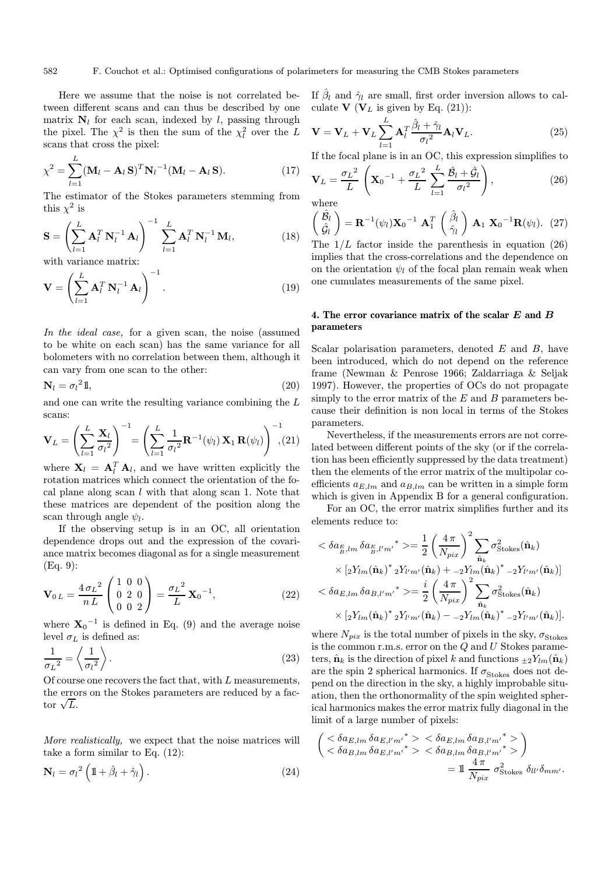Here we assume that the noise is not correlated between different scans and can thus be described by one matrix  $N_l$  for each scan, indexed by l, passing through the pixel. The  $\chi^2$  is then the sum of the  $\chi_l^2$  over the L scans that cross the pixel:

$$
\chi^2 = \sum_{l=1}^{L} (\mathbf{M}_l - \mathbf{A}_l \mathbf{S})^T \mathbf{N}_l^{-1} (\mathbf{M}_l - \mathbf{A}_l \mathbf{S}).
$$
 (17)

The estimator of the Stokes parameters stemming from this  $\chi^2$  is

$$
\mathbf{S} = \left(\sum_{l=1}^{L} \mathbf{A}_l^T \mathbf{N}_l^{-1} \mathbf{A}_l\right)^{-1} \sum_{l=1}^{L} \mathbf{A}_l^T \mathbf{N}_l^{-1} \mathbf{M}_l, \tag{18}
$$

with variance matrix:

$$
\mathbf{V} = \left(\sum_{l=1}^{L} \mathbf{A}_l^T \, \mathbf{N}_l^{-1} \, \mathbf{A}_l\right)^{-1}.\tag{19}
$$

In the ideal case, for a given scan, the noise (assumed to be white on each scan) has the same variance for all bolometers with no correlation between them, although it can vary from one scan to the other:

$$
\mathbf{N}_l = \sigma_l^2 \mathbb{1},\tag{20}
$$

and one can write the resulting variance combining the L scans:

$$
\mathbf{V}_L = \left(\sum_{l=1}^L \frac{\mathbf{X}_l}{\sigma_l^2}\right)^{-1} = \left(\sum_{l=1}^L \frac{1}{\sigma_l^2} \mathbf{R}^{-1}(\psi_l) \mathbf{X}_1 \mathbf{R}(\psi_l)\right)^{-1}, (21)
$$

where  $\mathbf{X}_l = \mathbf{A}_l^T \mathbf{A}_l$ , and we have written explicitly the rotation matrices which connect the orientation of the focal plane along scan  $l$  with that along scan 1. Note that these matrices are dependent of the position along the scan through angle  $\psi_l$ .

If the observing setup is in an OC, all orientation dependence drops out and the expression of the covariance matrix becomes diagonal as for a single measurement (Eq. 9):

$$
\mathbf{V}_{0 L} = \frac{4 \sigma_L^2}{n L} \begin{pmatrix} 1 & 0 & 0 \\ 0 & 2 & 0 \\ 0 & 0 & 2 \end{pmatrix} = \frac{\sigma_L^2}{L} \mathbf{X}_0^{-1},
$$
(22)

where  $X_0^{-1}$  is defined in Eq. (9) and the average noise level  $\sigma_L$  is defined as:

$$
\frac{1}{\sigma_L^2} = \left\langle \frac{1}{\sigma_l^2} \right\rangle. \tag{23}
$$

Of course one recovers the fact that, with L measurements, the errors on the Stokes parameters are reduced by a facthe error<br>tor  $\sqrt{L}$ .

More realistically, we expect that the noise matrices will take a form similar to Eq. (12):

$$
\mathbf{N}_l = \sigma_l^2 \left( 1 + \hat{\beta}_l + \hat{\gamma}_l \right). \tag{24}
$$

If  $\hat{\beta}_l$  and  $\hat{\gamma}_l$  are small, first order inversion allows to calculate **V** ( $V_L$  is given by Eq. (21)):

$$
\mathbf{V} = \mathbf{V}_L + \mathbf{V}_L \sum_{l=1}^{L} \mathbf{A}_l^T \frac{\hat{\beta}_l + \hat{\gamma}_l}{\sigma_l^2} \mathbf{A}_l \mathbf{V}_L.
$$
 (25)

If the focal plane is in an OC, this expression simplifies to

$$
\mathbf{V}_L = \frac{\sigma_L^2}{L} \left( \mathbf{X}_0^{-1} + \frac{\sigma_L^2}{L} \sum_{l=1}^L \frac{\hat{\mathcal{B}}_l + \hat{\mathcal{G}}_l}{\sigma_l^2} \right),\tag{26}
$$

where

$$
\begin{pmatrix} \hat{\mathcal{B}}_l \\ \hat{\mathcal{G}}_l \end{pmatrix} = \mathbf{R}^{-1}(\psi_l) \mathbf{X}_0^{-1} \mathbf{A}_1^T \begin{pmatrix} \hat{\beta}_l \\ \hat{\gamma}_l \end{pmatrix} \mathbf{A}_1 \mathbf{X}_0^{-1} \mathbf{R}(\psi_l). (27)
$$

The  $1/L$  factor inside the parenthesis in equation (26) implies that the cross-correlations and the dependence on on the orientation  $\psi_l$  of the focal plan remain weak when one cumulates measurements of the same pixel.

# 4. The error covariance matrix of the scalar E and B parameters

Scalar polarisation parameters, denoted  $E$  and  $B$ , have been introduced, which do not depend on the reference frame (Newman & Penrose 1966; Zaldarriaga & Seljak 1997). However, the properties of OCs do not propagate simply to the error matrix of the  $E$  and  $B$  parameters because their definition is non local in terms of the Stokes parameters.

Nevertheless, if the measurements errors are not correlated between different points of the sky (or if the correlation has been efficiently suppressed by the data treatment) then the elements of the error matrix of the multipolar coefficients  $a_{E,lm}$  and  $a_{B,lm}$  can be written in a simple form which is given in Appendix B for a general configuration.

For an OC, the error matrix simplifies further and its elements reduce to:

$$
\langle \delta a_{\frac{E}{B},lm} \delta a_{\frac{E}{B},l'm'} \rangle^* \rangle = \frac{1}{2} \left( \frac{4 \pi}{N_{pix}} \right)^2 \sum_{\hat{\mathbf{n}}_k} \sigma_{\text{Stokes}}^2(\hat{\mathbf{n}}_k) \times \left[ 2Y_{lm}(\hat{\mathbf{n}}_k)^* 2Y_{l'm'}(\hat{\mathbf{n}}_k) + {}_{-2}Y_{lm}(\hat{\mathbf{n}}_k)^* {}_{-2}Y_{l'm'}(\hat{\mathbf{n}}_k) \right] \langle \delta a_{E,lm} \delta a_{B,l'm'} \rangle^* \rangle = \frac{i}{2} \left( \frac{4 \pi}{N_{pix}} \right)^2 \sum_{\hat{\mathbf{n}}_k} \sigma_{\text{Stokes}}^2(\hat{\mathbf{n}}_k) \times \left[ 2Y_{lm}(\hat{\mathbf{n}}_k)^* 2Y_{l'm'}(\hat{\mathbf{n}}_k) - {}_{-2}Y_{lm}(\hat{\mathbf{n}}_k)^* {}_{-2}Y_{l'm'}(\hat{\mathbf{n}}_k) \right].
$$

where  $N_{pix}$  is the total number of pixels in the sky,  $\sigma_{\rm Stokes}$ is the common r.m.s. error on the  $Q$  and  $U$  Stokes parameters,  $\hat{\mathbf{n}}_k$  is the direction of pixel k and functions  $\pm 2Y_{lm}(\hat{\mathbf{n}}_k)$ are the spin 2 spherical harmonics. If  $\sigma_{\text{Stokes}}$  does not depend on the direction in the sky, a highly improbable situation, then the orthonormality of the spin weighted spherical harmonics makes the error matrix fully diagonal in the limit of a large number of pixels:

$$
\begin{aligned}\n&\left(\begin{array}{l} < \delta a_{E,lm} \, \delta a_{E,l'm'}{}^* > \; < \delta a_{E,lm} \, \delta a_{B,l'm'}{}^* > \\
 < \delta a_{B,lm} \, \delta a_{E,l'm'}{}^* > \; < \delta a_{B,lm} \, \delta a_{B,l'm'}{}^* > \n \end{array}\right) \\
&= 1 \, \frac{4 \, \pi}{N_{pix}} \, \sigma_{\text{Stokes}}^2 \, \delta_{ll'} \delta_{mm'}.\n\end{aligned}
$$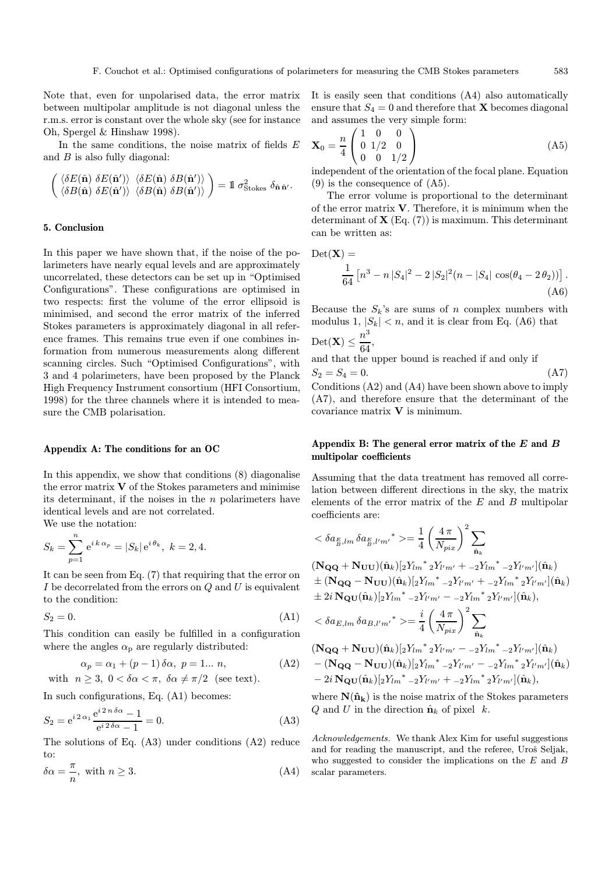Note that, even for unpolarised data, the error matrix between multipolar amplitude is not diagonal unless the r.m.s. error is constant over the whole sky (see for instance Oh, Spergel & Hinshaw 1998).

In the same conditions, the noise matrix of fields  $E$ and  $B$  is also fully diagonal:

$$
\begin{pmatrix}\n\langle \delta E(\hat{\mathbf{n}}) \ \delta E(\hat{\mathbf{n}}') \rangle & \langle \delta E(\hat{\mathbf{n}}) \ \delta B(\hat{\mathbf{n}}') \rangle \\
\langle \delta B(\hat{\mathbf{n}}) \ \delta E(\hat{\mathbf{n}}') \rangle & \langle \delta B(\hat{\mathbf{n}}) \ \delta B(\hat{\mathbf{n}}') \rangle\n\end{pmatrix} = 1\!\!1 \sigma_{Stokes}^2 \ \delta_{\hat{\mathbf{n}}\hat{\mathbf{n}}'}.
$$

# 5. Conclusion

In this paper we have shown that, if the noise of the polarimeters have nearly equal levels and are approximately uncorrelated, these detectors can be set up in "Optimised Configurations". These configurations are optimised in two respects: first the volume of the error ellipsoid is minimised, and second the error matrix of the inferred Stokes parameters is approximately diagonal in all reference frames. This remains true even if one combines information from numerous measurements along different scanning circles. Such "Optimised Configurations", with 3 and 4 polarimeters, have been proposed by the Planck High Frequency Instrument consortium (HFI Consortium, 1998) for the three channels where it is intended to measure the CMB polarisation.

#### Appendix A: The conditions for an OC

In this appendix, we show that conditions (8) diagonalise the error matrix  $V$  of the Stokes parameters and minimise its determinant, if the noises in the  $n$  polarimeters have identical levels and are not correlated. We use the notation:

$$
S_k = \sum_{p=1}^n e^{i k \alpha_p} = |S_k| e^{i \theta_k}, \ k = 2, 4.
$$

It can be seen from Eq. (7) that requiring that the error on I be decorrelated from the errors on  $Q$  and  $U$  is equivalent to the condition:

$$
S_2 = 0.\t\t(A1)
$$

This condition can easily be fulfilled in a configuration where the angles  $\alpha_{\rm p}$  are regularly distributed:

$$
\alpha_p = \alpha_1 + (p-1)\,\delta\alpha, \ p = 1... \ n,
$$
 (A2)

with  $n \geq 3$ ,  $0 < \delta \alpha < \pi$ ,  $\delta \alpha \neq \pi/2$  (see text).

In such configurations, Eq. (A1) becomes:

$$
S_2 = e^{i 2 \alpha_1} \frac{e^{i 2 \pi \delta \alpha} - 1}{e^{i 2 \delta \alpha} - 1} = 0.
$$
 (A3)

The solutions of Eq. (A3) under conditions (A2) reduce to:

$$
\delta \alpha = \frac{\pi}{n}, \text{ with } n \ge 3. \tag{A4}
$$

It is easily seen that conditions (A4) also automatically ensure that  $S_4 = 0$  and therefore that **X** becomes diagonal and assumes the very simple form:

$$
\mathbf{X}_0 = \frac{n}{4} \begin{pmatrix} 1 & 0 & 0 \\ 0 & 1/2 & 0 \\ 0 & 0 & 1/2 \end{pmatrix} \tag{A5}
$$

independent of the orientation of the focal plane. Equation (9) is the consequence of (A5).

The error volume is proportional to the determinant of the error matrix V. Therefore, it is minimum when the determinant of  $X$  (Eq. (7)) is maximum. This determinant can be written as:

$$
Det(\mathbf{X}) = \frac{1}{64} \left[ n^3 - n |S_4|^2 - 2 |S_2|^2 (n - |S_4| \cos(\theta_4 - 2 \theta_2)) \right].
$$
\n(A6)

Because the  $S_k$ 's are sums of n complex numbers with modulus 1,  $|S_k| < n$ , and it is clear from Eq. (A6) that  $n^3$ 

$$
\text{Det}(\mathbf{X}) \le \frac{n}{64},
$$

and that the upper bound is reached if and only if  $S_2 = S_4 = 0.$  (A7)

Conditions (A2) and (A4) have been shown above to imply (A7), and therefore ensure that the determinant of the covariance matrix  $V$  is minimum.

# Appendix B: The general error matrix of the  $E$  and  $B$ multipolar coefficients

Assuming that the data treatment has removed all correlation between different directions in the sky, the matrix elements of the error matrix of the  $E$  and  $B$  multipolar coefficients are:

$$
\langle \delta a_{\frac{E}{B},lm} \delta a_{\frac{E}{B},l'm'} \rangle^* \rangle = \frac{1}{4} \left( \frac{4 \pi}{N_{pix}} \right)^2 \sum_{\hat{\mathbf{n}}_k} \n(\mathbf{N}_{\mathbf{QQ}} + \mathbf{N}_{\mathbf{UU}})(\hat{\mathbf{n}}_k)[2Y_{lm}^* 2Y_{l'm'} + -2Y_{lm}^* -2Y_{l'm'}](\hat{\mathbf{n}}_k) \n\pm (\mathbf{N}_{\mathbf{QQ}} - \mathbf{N}_{\mathbf{UU}})(\hat{\mathbf{n}}_k)[2Y_{lm}^* -2Y_{l'm'} + -2Y_{lm}^* 2Y_{l'm'}](\hat{\mathbf{n}}_k) \n\pm 2i \mathbf{N}_{\mathbf{QU}}(\hat{\mathbf{n}}_k)[2Y_{lm}^* -2Y_{l'm'} - -2Y_{lm}^* 2Y_{l'm'}](\hat{\mathbf{n}}_k), \n\langle \delta a_{E,lm} \delta a_{B,l'm'}^* \rangle = \frac{i}{4} \left( \frac{4 \pi}{N_{pix}} \right)^2 \sum_{\hat{\mathbf{n}}_k} \n(\mathbf{N}_{\mathbf{QQ}} + \mathbf{N}_{\mathbf{UU}})(\hat{\mathbf{n}}_k)[2Y_{lm}^* 2Y_{l'm'} - -2Y_{lm}^* -2Y_{l'm'}](\hat{\mathbf{n}}_k) \n- (\mathbf{N}_{\mathbf{QQ}} - \mathbf{N}_{\mathbf{UU}})(\hat{\mathbf{n}}_k)[2Y_{lm}^* -2Y_{l'm'} - -2Y_{lm}^* 2Y_{l'm'}](\hat{\mathbf{n}}_k) \n- 2i \mathbf{N}_{\mathbf{QU}}(\hat{\mathbf{n}}_k)[2Y_{lm}^* -2Y_{l'm'} + -2Y_{lm}^* 2Y_{l'm'}](\hat{\mathbf{n}}_k),
$$

where  $N(\hat{n}_k)$  is the noise matrix of the Stokes parameters Q and U in the direction  $\hat{\mathbf{n}}_k$  of pixel k.

Acknowledgements. We thank Alex Kim for useful suggestions and for reading the manuscript, and the referee, Uroš Seljak, who suggested to consider the implications on the  $E$  and  $B$ scalar parameters.